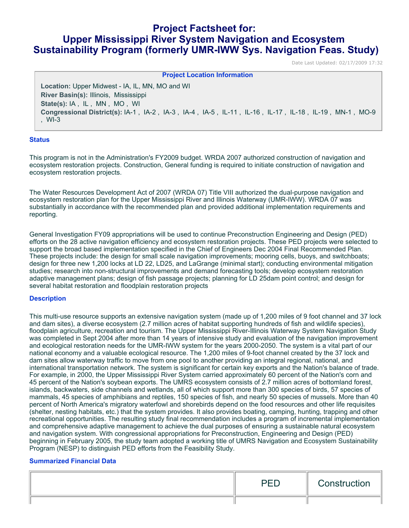# **Project Factsheet for: Upper Mississippi River System Navigation and Ecosystem Sustainability Program (formerly UMR-IWW Sys. Navigation Feas. Study)**

Date Last Updated: 02/17/2009 17:32

| <b>Project Location Information</b>                                                                              |  |  |  |
|------------------------------------------------------------------------------------------------------------------|--|--|--|
| Location: Upper Midwest - IA, IL, MN, MO and WI                                                                  |  |  |  |
| River Basin(s): Illinois, Mississippi                                                                            |  |  |  |
| State(s): IA, IL, MN, MO, WI                                                                                     |  |  |  |
| Congressional District(s): IA-1, IA-2, IA-3, IA-4, IA-5, IL-11, IL-16, IL-17, IL-18, IL-19, MN-1, MO-9<br>$WI-3$ |  |  |  |

## **Status**

This program is not in the Administration's FY2009 budget. WRDA 2007 authorized construction of navigation and ecosystem restoration projects. Construction, General funding is required to initiate construction of navigation and ecosystem restoration projects.

The Water Resources Development Act of 2007 (WRDA 07) Title VIII authorized the dual-purpose navigation and ecosystem restoration plan for the Upper Mississippi River and Illinois Waterway (UMR-IWW). WRDA 07 was substantially in accordance with the recommended plan and provided additional implementation requirements and reporting.

General Investigation FY09 appropriations will be used to continue Preconstruction Engineering and Design (PED) efforts on the 28 active navigation efficiency and ecosystem restoration projects. These PED projects were selected to support the broad based implementation specified in the Chief of Engineers Dec 2004 Final Recommended Plan. These projects include: the design for small scale navigation improvements; mooring cells, buoys, and switchboats; design for three new 1,200 locks at LD 22, LD25, and LaGrange (minimal start); conducting environmental mitigation studies; research into non-structural improvements and demand forecasting tools; develop ecosystem restoration adaptive management plans; design of fish passage projects; planning for LD 25dam point control; and design for several habitat restoration and floodplain restoration projects

### **Description**

This multi-use resource supports an extensive navigation system (made up of 1,200 miles of 9 foot channel and 37 lock and dam sites), a diverse ecosystem (2.7 million acres of habitat supporting hundreds of fish and wildlife species), floodplain agriculture, recreation and tourism. The Upper Mississippi River-Illinois Waterway System Navigation Study was completed in Sept 2004 after more than 14 years of intensive study and evaluation of the navigation improvement and ecological restoration needs for the UMR-IWW system for the years 2000-2050. The system is a vital part of our national economy and a valuable ecological resource. The 1,200 miles of 9-foot channel created by the 37 lock and dam sites allow waterway traffic to move from one pool to another providing an integral regional, national, and international transportation network. The system is significant for certain key exports and the Nation's balance of trade. For example, in 2000, the Upper Mississippi River System carried approximately 60 percent of the Nation's corn and 45 percent of the Nation's soybean exports. The UMRS ecosystem consists of 2.7 million acres of bottomland forest, islands, backwaters, side channels and wetlands, all of which support more than 300 species of birds, 57 species of mammals, 45 species of amphibians and reptiles, 150 species of fish, and nearly 50 species of mussels. More than 40 percent of North America's migratory waterfowl and shorebirds depend on the food resources and other life requisites (shelter, nesting habitats, etc.) that the system provides. It also provides boating, camping, hunting, trapping and other recreational opportunities. The resulting study final recommendation includes a program of incremental implementation and comprehensive adaptive management to achieve the dual purposes of ensuring a sustainable natural ecosystem and navigation system. With congressional appropriations for Preconstruction, Engineering and Design (PED) beginning in February 2005, the study team adopted a working title of UMRS Navigation and Ecosystem Sustainability Program (NESP) to distinguish PED efforts from the Feasibility Study.

### **Summarized Financial Data**

| nrn<br>— | Construction |
|----------|--------------|
|          |              |